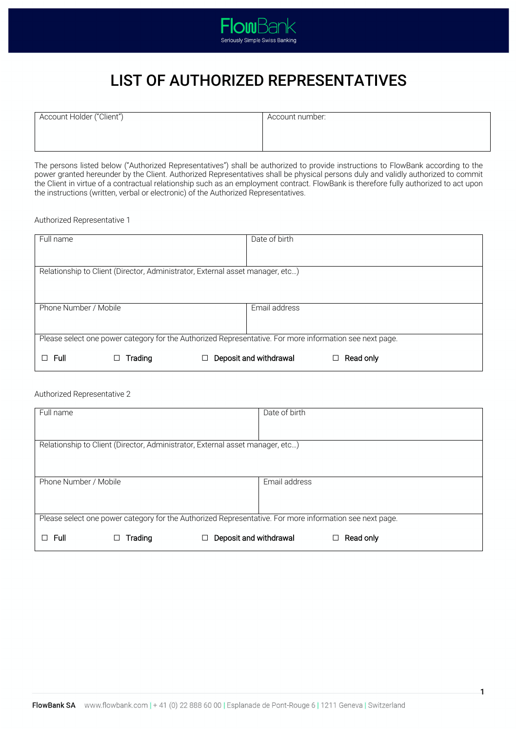

# LIST OF AUTHORIZED REPRESENTATIVES

| Account Holder ("Client") | Account number: |
|---------------------------|-----------------|
|                           |                 |
|                           |                 |

The persons listed below ("Authorized Representatives") shall be authorized to provide instructions to FlowBank according to the power granted hereunder by the Client. Authorized Representatives shall be physical persons duly and validly authorized to commit the Client in virtue of a contractual relationship such as an employment contract. FlowBank is therefore fully authorized to act upon the instructions (written, verbal or electronic) of the Authorized Representatives.

Authorized Representative 1

| Full name                                                                                               |                                                                               |  | Date of birth          |           |
|---------------------------------------------------------------------------------------------------------|-------------------------------------------------------------------------------|--|------------------------|-----------|
|                                                                                                         |                                                                               |  |                        |           |
|                                                                                                         |                                                                               |  |                        |           |
|                                                                                                         |                                                                               |  |                        |           |
|                                                                                                         |                                                                               |  |                        |           |
|                                                                                                         | Relationship to Client (Director, Administrator, External asset manager, etc) |  |                        |           |
|                                                                                                         |                                                                               |  |                        |           |
|                                                                                                         |                                                                               |  |                        |           |
|                                                                                                         |                                                                               |  |                        |           |
|                                                                                                         |                                                                               |  |                        |           |
|                                                                                                         |                                                                               |  |                        |           |
| Phone Number / Mobile                                                                                   |                                                                               |  | Email address          |           |
|                                                                                                         |                                                                               |  |                        |           |
|                                                                                                         |                                                                               |  |                        |           |
|                                                                                                         |                                                                               |  |                        |           |
|                                                                                                         |                                                                               |  |                        |           |
| Please select one power category for the Authorized Representative. For more information see next page. |                                                                               |  |                        |           |
|                                                                                                         |                                                                               |  |                        |           |
|                                                                                                         |                                                                               |  |                        |           |
| Full<br>П                                                                                               | Trading                                                                       |  | Deposit and withdrawal | Read only |
|                                                                                                         |                                                                               |  |                        |           |

# Authorized Representative 2

| Full name                                                                                               |         | Date of birth                                                                 |           |
|---------------------------------------------------------------------------------------------------------|---------|-------------------------------------------------------------------------------|-----------|
|                                                                                                         |         |                                                                               |           |
|                                                                                                         |         |                                                                               |           |
|                                                                                                         |         |                                                                               |           |
|                                                                                                         |         | Relationship to Client (Director, Administrator, External asset manager, etc) |           |
|                                                                                                         |         |                                                                               |           |
|                                                                                                         |         |                                                                               |           |
|                                                                                                         |         |                                                                               |           |
|                                                                                                         |         |                                                                               |           |
| Phone Number / Mobile                                                                                   |         | Email address                                                                 |           |
|                                                                                                         |         |                                                                               |           |
|                                                                                                         |         |                                                                               |           |
|                                                                                                         |         |                                                                               |           |
|                                                                                                         |         |                                                                               |           |
| Please select one power category for the Authorized Representative. For more information see next page. |         |                                                                               |           |
|                                                                                                         |         |                                                                               |           |
|                                                                                                         |         |                                                                               |           |
| Full<br>П                                                                                               | Trading | Deposit and withdrawal                                                        | Read only |
|                                                                                                         |         |                                                                               |           |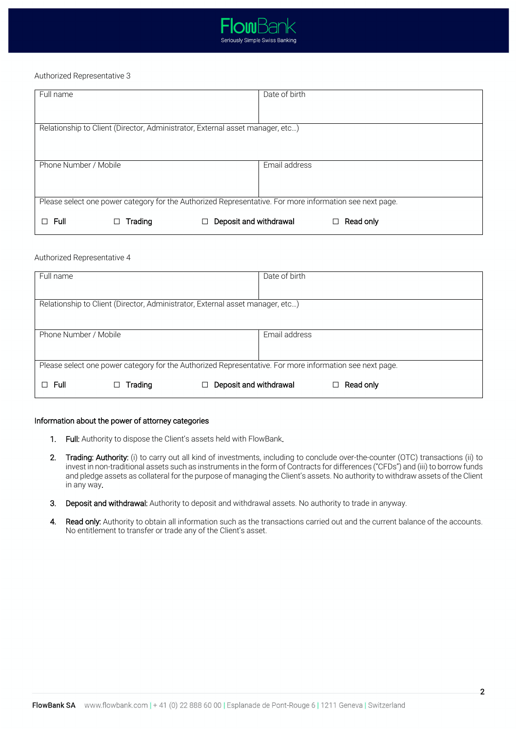

## Authorized Representative 3

| Full name                                                                                               | Date of birth |  |  |  |
|---------------------------------------------------------------------------------------------------------|---------------|--|--|--|
|                                                                                                         |               |  |  |  |
| Relationship to Client (Director, Administrator, External asset manager, etc)                           |               |  |  |  |
| Phone Number / Mobile                                                                                   | Email address |  |  |  |
| Please select one power category for the Authorized Representative. For more information see next page. |               |  |  |  |
| Deposit and withdrawal<br>Full<br>Trading                                                               | Read only     |  |  |  |

### Authorized Representative 4

| Full name                                                                                               |                        | Date of birth |           |
|---------------------------------------------------------------------------------------------------------|------------------------|---------------|-----------|
| Relationship to Client (Director, Administrator, External asset manager, etc)                           |                        |               |           |
| Phone Number / Mobile                                                                                   |                        | Email address |           |
| Please select one power category for the Authorized Representative. For more information see next page. |                        |               |           |
| $\Box$ Full<br>Trading                                                                                  | Deposit and withdrawal |               | Read only |

#### Information about the power of attorney categories

- 1. Full: Authority to dispose the Client's assets held with FlowBank.
- 2. Trading: Authority: (i) to carry out all kind of investments, including to conclude over-the-counter (OTC) transactions (ii) to invest in non-traditional assets such as instruments in the form of Contracts for differences ("CFDs") and (iii) to borrow funds and pledge assets as collateral for the purpose of managing the Client's assets. No authority to withdraw assets of the Client in any way.
- 3. Deposit and withdrawal: Authority to deposit and withdrawal assets. No authority to trade in anyway.
- 4. Read only: Authority to obtain all information such as the transactions carried out and the current balance of the accounts. No entitlement to transfer or trade any of the Client's asset.